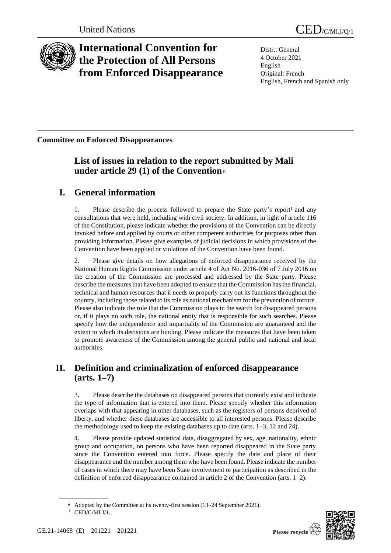

# **International Convention for the Protection of All Persons from Enforced Disappearance**

United Nations CED/C/MLI/Q/1

Distr.: General 4 October 2021 English Original: French English, French and Spanish only

**Committee on Enforced Disappearances**

## **List of issues in relation to the report submitted by Mali under article 29 (1) of the Convention**

# **I. General information**

1. Please describe the process followed to prepare the State party's report<sup>1</sup> and any consultations that were held, including with civil society. In addition, in light of article 116 of the Constitution, please indicate whether the provisions of the Convention can be directly invoked before and applied by courts or other competent authorities for purposes other than providing information. Please give examples of judicial decisions in which provisions of the Convention have been applied or violations of the Convention have been found.

2. Please give details on how allegations of enforced disappearance received by the National Human Rights Commission under article 4 of Act No. 2016-036 of 7 July 2016 on the creation of the Commission are processed and addressed by the State party. Please describe the measures that have been adopted to ensure that the Commission has the financial, technical and human resources that it needs to properly carry out its functions throughout the country, including those related to its role as national mechanism for the prevention of torture. Please also indicate the role that the Commission plays in the search for disappeared persons or, if it plays no such role, the national entity that is responsible for such searches. Please specify how the independence and impartiality of the Commission are guaranteed and the extent to which its decisions are binding. Please indicate the measures that have been taken to promote awareness of the Commission among the general public and national and local authorities.

# **II. Definition and criminalization of enforced disappearance (arts. 1–7)**

3. Please describe the databases on disappeared persons that currently exist and indicate the type of information that is entered into them. Please specify whether this information overlaps with that appearing in other databases, such as the registers of persons deprived of liberty, and whether these databases are accessible to all interested persons. Please describe the methodology used to keep the existing databases up to date (arts. 1–3, 12 and 24).

4. Please provide updated statistical data, disaggregated by sex, age, nationality, ethnic group and occupation, on persons who have been reported disappeared in the State party since the Convention entered into force. Please specify the date and place of their disappearance and the number among them who have been found. Please indicate the number of cases in which there may have been State involvement or participation as described in the definition of enforced disappearance contained in article 2 of the Convention (arts. 1–2).



Adopted by the Committee at its twenty-first session (13–24 September 2021).  $1$  CED/C/MLI/1.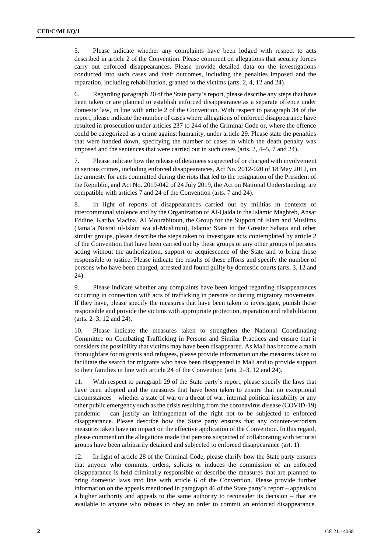5. Please indicate whether any complaints have been lodged with respect to acts described in article 2 of the Convention. Please comment on allegations that security forces carry out enforced disappearances. Please provide detailed data on the investigations conducted into such cases and their outcomes, including the penalties imposed and the reparation, including rehabilitation, granted to the victims (arts. 2, 4, 12 and 24).

6. Regarding paragraph 20 of the State party's report, please describe any steps that have been taken or are planned to establish enforced disappearance as a separate offence under domestic law, in line with article 2 of the Convention. With respect to paragraph 34 of the report, please indicate the number of cases where allegations of enforced disappearance have resulted in prosecution under articles 237 to 244 of the Criminal Code or, where the offence could be categorized as a crime against humanity, under article 29. Please state the penalties that were handed down, specifying the number of cases in which the death penalty was imposed and the sentences that were carried out in such cases (arts. 2, 4–5, 7 and 24).

7. Please indicate how the release of detainees suspected of or charged with involvement in serious crimes, including enforced disappearances, Act No. 2012-020 of 18 May 2012, on the amnesty for acts committed during the riots that led to the resignation of the President of the Republic, and Act No. 2019-042 of 24 July 2019, the Act on National Understanding, are compatible with articles 7 and 24 of the Convention (arts. 7 and 24).

8. In light of reports of disappearances carried out by militias in contexts of intercommunal violence and by the Organization of Al-Qaida in the Islamic Maghreb, Ansar Eddine, Katiba Macina, Al Mourabitoun, the Group for the Support of Islam and Muslims (Jama'a Nusrat ul-Islam wa al-Muslimin), Islamic State in the Greater Sahara and other similar groups, please describe the steps taken to investigate acts contemplated by article 2 of the Convention that have been carried out by these groups or any other groups of persons acting without the authorization, support or acquiescence of the State and to bring those responsible to justice. Please indicate the results of these efforts and specify the number of persons who have been charged, arrested and found guilty by domestic courts (arts. 3, 12 and 24).

9. Please indicate whether any complaints have been lodged regarding disappearances occurring in connection with acts of trafficking in persons or during migratory movements. If they have, please specify the measures that have been taken to investigate, punish those responsible and provide the victims with appropriate protection, reparation and rehabilitation (arts. 2–3, 12 and 24).

10. Please indicate the measures taken to strengthen the National Coordinating Committee on Combating Trafficking in Persons and Similar Practices and ensure that it considers the possibility that victims may have been disappeared. As Mali has become a main thoroughfare for migrants and refugees, please provide information on the measures taken to facilitate the search for migrants who have been disappeared in Mali and to provide support to their families in line with article 24 of the Convention (arts. 2–3, 12 and 24).

11. With respect to paragraph 29 of the State party's report, please specify the laws that have been adopted and the measures that have been taken to ensure that no exceptional circumstances – whether a state of war or a threat of war, internal political instability or any other public emergency such as the crisis resulting from the coronavirus disease (COVID-19) pandemic – can justify an infringement of the right not to be subjected to enforced disappearance. Please describe how the State party ensures that any counter-terrorism measures taken have no impact on the effective application of the Convention. In this regard, please comment on the allegations made that persons suspected of collaborating with terrorist groups have been arbitrarily detained and subjected to enforced disappearance (art. 1).

12. In light of article 28 of the Criminal Code, please clarify how the State party ensures that anyone who commits, orders, solicits or induces the commission of an enforced disappearance is held criminally responsible or describe the measures that are planned to bring domestic laws into line with article 6 of the Convention. Please provide further information on the appeals mentioned in paragraph 46 of the State party's report – appeals to a higher authority and appeals to the same authority to reconsider its decision – that are available to anyone who refuses to obey an order to commit an enforced disappearance.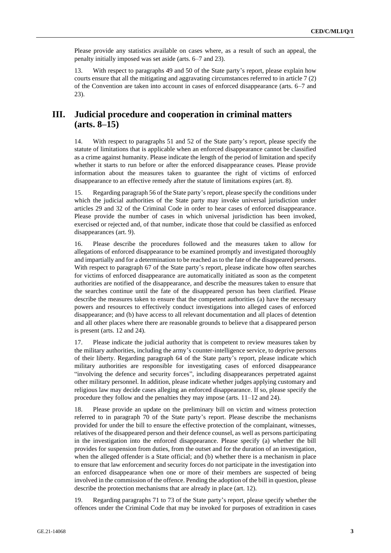Please provide any statistics available on cases where, as a result of such an appeal, the penalty initially imposed was set aside (arts. 6–7 and 23).

13. With respect to paragraphs 49 and 50 of the State party's report, please explain how courts ensure that all the mitigating and aggravating circumstances referred to in article 7 (2) of the Convention are taken into account in cases of enforced disappearance (arts. 6–7 and 23).

## **III. Judicial procedure and cooperation in criminal matters (arts. 8–15)**

14. With respect to paragraphs 51 and 52 of the State party's report, please specify the statute of limitations that is applicable when an enforced disappearance cannot be classified as a crime against humanity. Please indicate the length of the period of limitation and specify whether it starts to run before or after the enforced disappearance ceases. Please provide information about the measures taken to guarantee the right of victims of enforced disappearance to an effective remedy after the statute of limitations expires (art. 8).

15. Regarding paragraph 56 of the State party's report, please specify the conditions under which the judicial authorities of the State party may invoke universal jurisdiction under articles 29 and 32 of the Criminal Code in order to hear cases of enforced disappearance. Please provide the number of cases in which universal jurisdiction has been invoked, exercised or rejected and, of that number, indicate those that could be classified as enforced disappearances (art. 9).

16. Please describe the procedures followed and the measures taken to allow for allegations of enforced disappearance to be examined promptly and investigated thoroughly and impartially and for a determination to be reached as to the fate of the disappeared persons. With respect to paragraph 67 of the State party's report, please indicate how often searches for victims of enforced disappearance are automatically initiated as soon as the competent authorities are notified of the disappearance, and describe the measures taken to ensure that the searches continue until the fate of the disappeared person has been clarified. Please describe the measures taken to ensure that the competent authorities (a) have the necessary powers and resources to effectively conduct investigations into alleged cases of enforced disappearance; and (b) have access to all relevant documentation and all places of detention and all other places where there are reasonable grounds to believe that a disappeared person is present (arts. 12 and 24).

17. Please indicate the judicial authority that is competent to review measures taken by the military authorities, including the army's counter-intelligence service, to deprive persons of their liberty. Regarding paragraph 64 of the State party's report, please indicate which military authorities are responsible for investigating cases of enforced disappearance "involving the defence and security forces", including disappearances perpetrated against other military personnel. In addition, please indicate whether judges applying customary and religious law may decide cases alleging an enforced disappearance. If so, please specify the procedure they follow and the penalties they may impose (arts. 11–12 and 24).

18. Please provide an update on the preliminary bill on victim and witness protection referred to in paragraph 70 of the State party's report. Please describe the mechanisms provided for under the bill to ensure the effective protection of the complainant, witnesses, relatives of the disappeared person and their defence counsel, as well as persons participating in the investigation into the enforced disappearance. Please specify (a) whether the bill provides for suspension from duties, from the outset and for the duration of an investigation, when the alleged offender is a State official; and (b) whether there is a mechanism in place to ensure that law enforcement and security forces do not participate in the investigation into an enforced disappearance when one or more of their members are suspected of being involved in the commission of the offence. Pending the adoption of the bill in question, please describe the protection mechanisms that are already in place (art. 12).

19. Regarding paragraphs 71 to 73 of the State party's report, please specify whether the offences under the Criminal Code that may be invoked for purposes of extradition in cases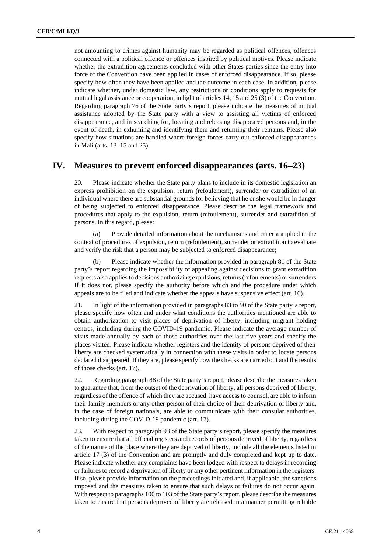not amounting to crimes against humanity may be regarded as political offences, offences connected with a political offence or offences inspired by political motives. Please indicate whether the extradition agreements concluded with other States parties since the entry into force of the Convention have been applied in cases of enforced disappearance. If so, please specify how often they have been applied and the outcome in each case. In addition, please indicate whether, under domestic law, any restrictions or conditions apply to requests for mutual legal assistance or cooperation, in light of articles 14, 15 and 25 (3) of the Convention. Regarding paragraph 76 of the State party's report, please indicate the measures of mutual assistance adopted by the State party with a view to assisting all victims of enforced disappearance, and in searching for, locating and releasing disappeared persons and, in the event of death, in exhuming and identifying them and returning their remains. Please also specify how situations are handled where foreign forces carry out enforced disappearances in Mali (arts. 13–15 and 25).

#### **IV. Measures to prevent enforced disappearances (arts. 16–23)**

20. Please indicate whether the State party plans to include in its domestic legislation an express prohibition on the expulsion, return (refoulement), surrender or extradition of an individual where there are substantial grounds for believing that he or she would be in danger of being subjected to enforced disappearance. Please describe the legal framework and procedures that apply to the expulsion, return (refoulement), surrender and extradition of persons. In this regard, please:

(a) Provide detailed information about the mechanisms and criteria applied in the context of procedures of expulsion, return (refoulement), surrender or extradition to evaluate and verify the risk that a person may be subjected to enforced disappearance;

(b) Please indicate whether the information provided in paragraph 81 of the State party's report regarding the impossibility of appealing against decisions to grant extradition requests also applies to decisions authorizing expulsions, returns (refoulements) or surrenders. If it does not, please specify the authority before which and the procedure under which appeals are to be filed and indicate whether the appeals have suspensive effect (art. 16).

21. In light of the information provided in paragraphs 83 to 90 of the State party's report, please specify how often and under what conditions the authorities mentioned are able to obtain authorization to visit places of deprivation of liberty, including migrant holding centres, including during the COVID-19 pandemic. Please indicate the average number of visits made annually by each of those authorities over the last five years and specify the places visited. Please indicate whether registers and the identity of persons deprived of their liberty are checked systematically in connection with these visits in order to locate persons declared disappeared. If they are, please specify how the checks are carried out and the results of those checks (art. 17).

22. Regarding paragraph 88 of the State party's report, please describe the measures taken to guarantee that, from the outset of the deprivation of liberty, all persons deprived of liberty, regardless of the offence of which they are accused, have access to counsel, are able to inform their family members or any other person of their choice of their deprivation of liberty and, in the case of foreign nationals, are able to communicate with their consular authorities, including during the COVID-19 pandemic (art. 17).

23. With respect to paragraph 93 of the State party's report, please specify the measures taken to ensure that all official registers and records of persons deprived of liberty, regardless of the nature of the place where they are deprived of liberty, include all the elements listed in article 17 (3) of the Convention and are promptly and duly completed and kept up to date. Please indicate whether any complaints have been lodged with respect to delays in recording or failures to record a deprivation of liberty or any other pertinent information in the registers. If so, please provide information on the proceedings initiated and, if applicable, the sanctions imposed and the measures taken to ensure that such delays or failures do not occur again. With respect to paragraphs 100 to 103 of the State party's report, please describe the measures taken to ensure that persons deprived of liberty are released in a manner permitting reliable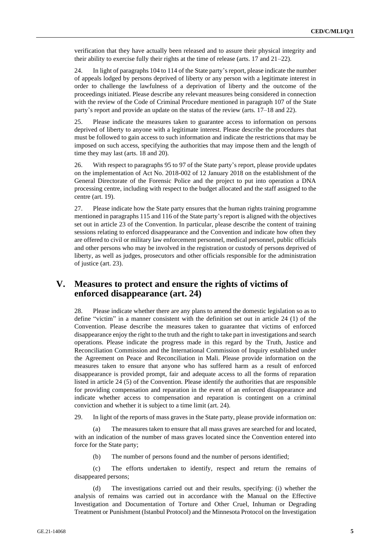verification that they have actually been released and to assure their physical integrity and their ability to exercise fully their rights at the time of release (arts. 17 and 21–22).

24. In light of paragraphs 104 to 114 of the State party's report, please indicate the number of appeals lodged by persons deprived of liberty or any person with a legitimate interest in order to challenge the lawfulness of a deprivation of liberty and the outcome of the proceedings initiated. Please describe any relevant measures being considered in connection with the review of the Code of Criminal Procedure mentioned in paragraph 107 of the State party's report and provide an update on the status of the review (arts. 17–18 and 22).

25. Please indicate the measures taken to guarantee access to information on persons deprived of liberty to anyone with a legitimate interest. Please describe the procedures that must be followed to gain access to such information and indicate the restrictions that may be imposed on such access, specifying the authorities that may impose them and the length of time they may last (arts. 18 and 20).

26. With respect to paragraphs 95 to 97 of the State party's report, please provide updates on the implementation of Act No. 2018-002 of 12 January 2018 on the establishment of the General Directorate of the Forensic Police and the project to put into operation a DNA processing centre, including with respect to the budget allocated and the staff assigned to the centre (art. 19).

27. Please indicate how the State party ensures that the human rights training programme mentioned in paragraphs 115 and 116 of the State party's report is aligned with the objectives set out in article 23 of the Convention. In particular, please describe the content of training sessions relating to enforced disappearance and the Convention and indicate how often they are offered to civil or military law enforcement personnel, medical personnel, public officials and other persons who may be involved in the registration or custody of persons deprived of liberty, as well as judges, prosecutors and other officials responsible for the administration of justice (art. 23).

## **V. Measures to protect and ensure the rights of victims of enforced disappearance (art. 24)**

28. Please indicate whether there are any plans to amend the domestic legislation so as to define "victim" in a manner consistent with the definition set out in article 24 (1) of the Convention. Please describe the measures taken to guarantee that victims of enforced disappearance enjoy the right to the truth and the right to take part in investigations and search operations. Please indicate the progress made in this regard by the Truth, Justice and Reconciliation Commission and the International Commission of Inquiry established under the Agreement on Peace and Reconciliation in Mali. Please provide information on the measures taken to ensure that anyone who has suffered harm as a result of enforced disappearance is provided prompt, fair and adequate access to all the forms of reparation listed in article 24 (5) of the Convention. Please identify the authorities that are responsible for providing compensation and reparation in the event of an enforced disappearance and indicate whether access to compensation and reparation is contingent on a criminal conviction and whether it is subject to a time limit (art. 24).

29. In light of the reports of mass graves in the State party, please provide information on:

(a) The measures taken to ensure that all mass graves are searched for and located, with an indication of the number of mass graves located since the Convention entered into force for the State party;

(b) The number of persons found and the number of persons identified;

(c) The efforts undertaken to identify, respect and return the remains of disappeared persons;

(d) The investigations carried out and their results, specifying: (i) whether the analysis of remains was carried out in accordance with the Manual on the Effective Investigation and Documentation of Torture and Other Cruel, Inhuman or Degrading Treatment or Punishment (Istanbul Protocol) and the Minnesota Protocol on the Investigation